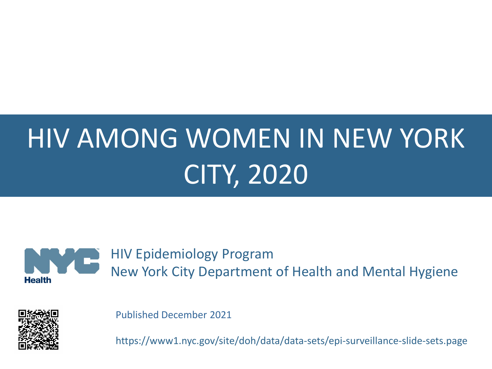# HIV AMONG WOMEN IN NEW YORK CITY, 2020



HIV Epidemiology Program New York City Department of Health and Mental Hygiene



Published December 2021

https://www1.nyc.gov/site/doh/data/data-sets/epi-surveillance-slide-sets.page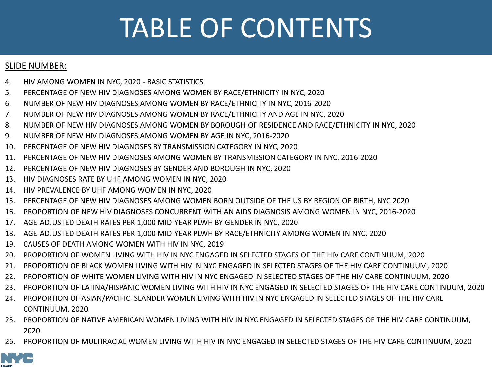## TABLE OF CONTENTS

#### SLIDE NUMBER:

- 4. [HIV AMONG WOMEN IN NYC, 2020 -](#page-3-0) BASIC STATISTICS
- 5. [PERCENTAGE OF NEW HIV DIAGNOSES AMONG WOMEN BY RACE/ETHNICITY IN NYC, 2020](#page-4-0)
- 6. [NUMBER OF NEW HIV DIAGNOSES AMONG WOMEN BY RACE/ETHNICITY IN NYC, 2016-2020](#page-5-0)
- 7. [NUMBER OF NEW HIV DIAGNOSES AMONG WOMEN BY RACE/ETHNICITY AND AGE IN NYC, 2020](#page-6-0)
- 8. [NUMBER OF NEW HIV DIAGNOSES AMONG WOMEN BY BOROUGH OF RESIDENCE AND RACE/ETHNICITY IN NYC, 2020](#page-7-0)
- 9. [NUMBER OF NEW HIV DIAGNOSES AMONG WOMEN BY AGE IN NYC, 2016-2020](#page-8-0)
- 10. [PERCENTAGE OF NEW HIV DIAGNOSES BY TRANSMISSION CATEGORY IN NYC, 2020](#page-9-0)
- 11. [PERCENTAGE OF NEW HIV DIAGNOSES AMONG WOMEN BY TRANSMISSION CATEGORY IN NYC, 2016-2020](#page-10-0)
- 12. [PERCENTAGE OF NEW HIV DIAGNOSES BY GENDER AND BOROUGH IN NYC, 2020](#page-11-0)
- 13. [HIV DIAGNOSES RATE BY UHF AMONG WOMEN IN NYC, 2020](#page-12-0)
- 14. [HIV PREVALENCE BY UHF AMONG WOMEN IN NYC, 2020](#page-13-0)
- 15. [PERCENTAGE OF NEW HIV DIAGNOSES AMONG WOMEN BORN OUTSIDE OF THE US BY REGION OF BIRTH, NYC 2020](#page-14-0)
- 16. [PROPORTION OF NEW HIV DIAGNOSES CONCURRENT WITH AN AIDS DIAGNOSIS AMONG WOMEN IN NYC, 2016-2020](#page-15-0)
- 17. [AGE-ADJUSTED DEATH RATES PER 1,000 MID-YEAR PLWH BY GENDER IN NYC, 2020](#page-16-0)
- 18. [AGE-ADJUSTED DEATH RATES PER 1,000 MID-YEAR PLWH BY RACE/ETHNICITY AMONG WOMEN IN NYC, 2020](#page-17-0)
- 19. [CAUSES OF DEATH AMONG WOMEN WITH HIV IN NYC, 2019](#page-18-0)
- 20. [PROPORTION OF WOMEN LIVING WITH HIV IN NYC ENGAGED IN SELECTED STAGES OF THE HIV CARE CONTINUUM, 2020](#page-19-0)
- 21. [PROPORTION OF BLACK WOMEN LIVING WITH HIV IN NYC ENGAGED IN SELECTED STAGES OF THE HIV CARE CONTINUUM, 2020](#page-20-0)
- 22. [PROPORTION OF WHITE WOMEN LIVING WITH HIV IN NYC ENGAGED IN SELECTED STAGES OF THE HIV CARE CONTINUUM, 2020](#page-21-0)
- 23. [PROPORTION OF LATINA/HISPANIC WOMEN LIVING WITH HIV IN NYC ENGAGED IN SELECTED STAGES OF THE HIV CARE CONTINUUM, 202](#page-22-0)0
- 24. [PROPORTION OF ASIAN/PACIFIC ISLANDER WOMEN LIVING WITH HIV IN NYC ENGAGED IN SELECTED STAGES OF THE HIV CARE](#page-23-0)  CONTINUUM, 2020
- 25. [PROPORTION OF NATIVE AMERICAN WOMEN LIVING WITH HIV IN NYC ENGAGED IN SELECTED STAGES OF THE HIV CARE CONTINUUM,](#page-24-0)  2020
- 26. [PROPORTION OF MULTIRACIAL WOMEN LIVING WITH HIV IN NYC ENGAGED IN SELECTED STAGES OF THE HIV CARE CONTINUUM, 2020](#page-25-0)

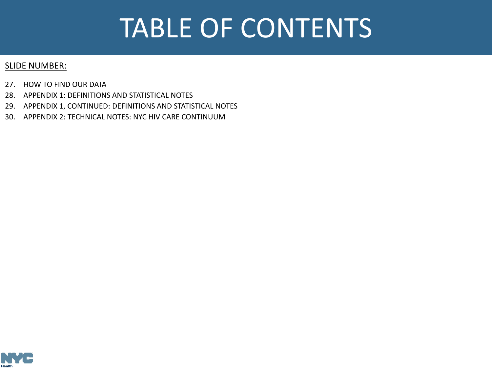## TABLE OF CONTENTS

#### SLIDE NUMBER:

- 27. [HOW TO FIND OUR DATA](#page-26-0)
- 28. [APPENDIX 1: DEFINITIONS AND STATISTICAL NOTES](#page-27-0)
- 29. [APPENDIX 1, CONTINUED: DEFINITIONS AND STATISTICAL NOTES](#page-28-0)
- 30. [APPENDIX 2: TECHNICAL NOTES: NYC HIV CARE CONTINUUM](#page-29-0)

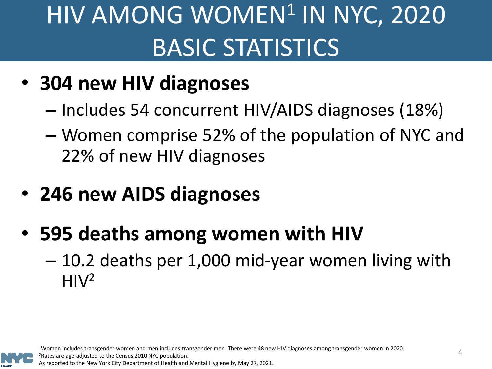# <span id="page-3-0"></span>HIV AMONG WOMEN<sup>1</sup> IN NYC, 2020 BASIC STATISTICS

- **304 new HIV diagnoses**
	- Includes 54 concurrent HIV/AIDS diagnoses (18%)
	- Women comprise 52% of the population of NYC and 22% of new HIV diagnoses
- **246 new AIDS diagnoses**
- **595 deaths among women with HIV** 
	- 10.2 deaths per 1,000 mid-year women living with  $H<sup>2</sup>$

1Women includes transgender women and men includes transgender men. There were 48 new HIV diagnoses among transgender women in 2020. 2Rates are age-adjusted to the Census 2010 NYC population. As reported to the New York City Department of Health and Mental Hygiene by May 27, 2021.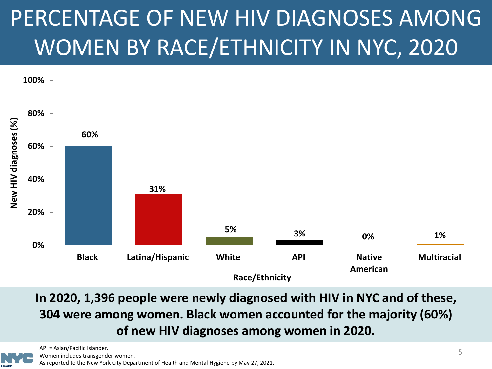## <span id="page-4-0"></span>PERCENTAGE OF NEW HIV DIAGNOSES AMONG WOMEN BY RACE/ETHNICITY IN NYC, 2020



**In 2020, 1,396 people were newly diagnosed with HIV in NYC and of these, 304 were among women. Black women accounted for the majority (60%) of new HIV diagnoses among women in 2020.**



API = Asian/Pacific Islander.

Women includes transgender women.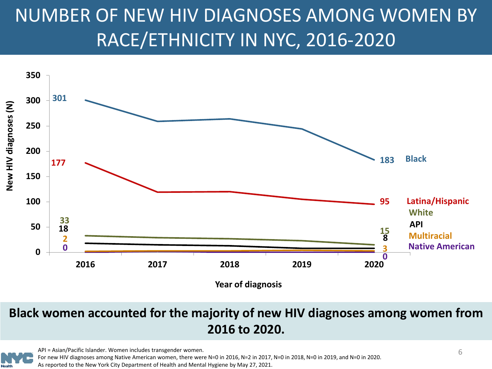### <span id="page-5-0"></span>NUMBER OF NEW HIV DIAGNOSES AMONG WOMEN BY RACE/ETHNICITY IN NYC, 2016-2020



#### **Black women accounted for the majority of new HIV diagnoses among women from 2016 to 2020.**



API = Asian/Pacific Islander. Women includes transgender women. For new HIV diagnoses among Native American women, there were N=0 in 2016, N=2 in 2017, N=0 in 2018, N=0 in 2019, and N=0 in 2020. As reported to the New York City Department of Health and Mental Hygiene by May 27, 2021.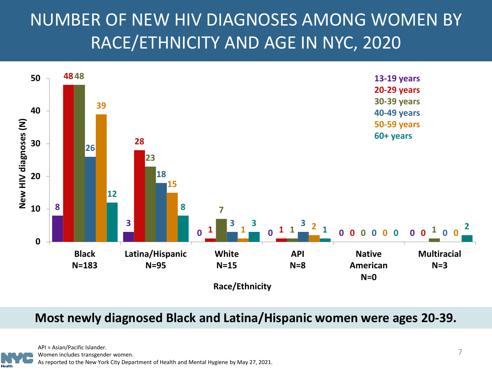### <span id="page-6-0"></span>NUMBER OF NEW HIV DIAGNOSES AMONG WOMEN BY RACE/ETHNICITY AND AGE IN NYC, 2020



#### **Most newly diagnosed Black and Latina/Hispanic women were ages 20-39.**

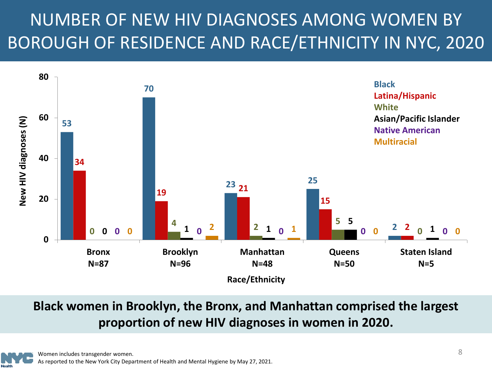### <span id="page-7-0"></span>NUMBER OF NEW HIV DIAGNOSES AMONG WOMEN BY BOROUGH OF RESIDENCE AND RACE/ETHNICITY IN NYC, 2020



**Black women in Brooklyn, the Bronx, and Manhattan comprised the largest proportion of new HIV diagnoses in women in 2020.**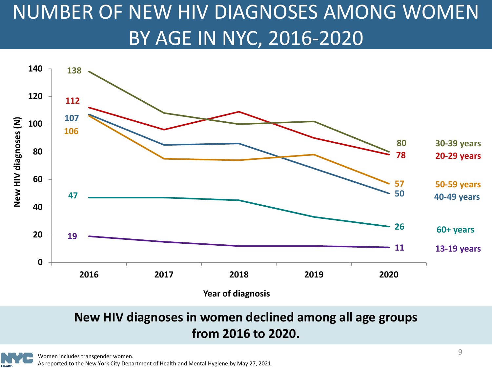### <span id="page-8-0"></span>NUMBER OF NEW HIV DIAGNOSES AMONG WOMEN BY AGE IN NYC, 2016-2020



#### **New HIV diagnoses in women declined among all age groups from 2016 to 2020.**

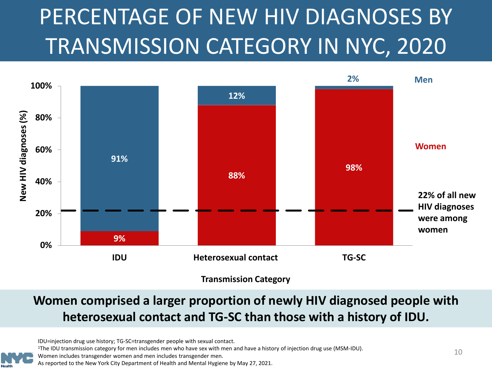## <span id="page-9-0"></span>PERCENTAGE OF NEW HIV DIAGNOSES BY TRANSMISSION CATEGORY IN NYC, 2020



#### **Women comprised a larger proportion of newly HIV diagnosed people with heterosexual contact and TG-SC than those with a history of IDU.**

IDU=injection drug use history; TG-SC=transgender people with sexual contact.

1The IDU transmission category for men includes men who have sex with men and have a history of injection drug use (MSM-IDU).

Women includes transgender women and men includes transgender men.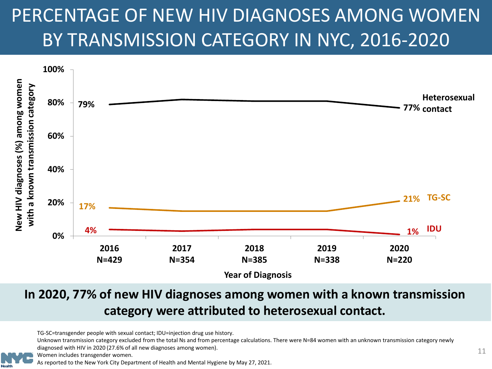### <span id="page-10-0"></span>PERCENTAGE OF NEW HIV DIAGNOSES AMONG WOMEN BY TRANSMISSION CATEGORY IN NYC, 2016-2020



#### **In 2020, 77% of new HIV diagnoses among women with a known transmission category were attributed to heterosexual contact.**

TG-SC=transgender people with sexual contact; IDU=injection drug use history.

Unknown transmission category excluded from the total Ns and from percentage calculations. There were N=84 women with an unknown transmission category newly diagnosed with HIV in 2020 (27.6% of all new diagnoses among women).

Women includes transgender women.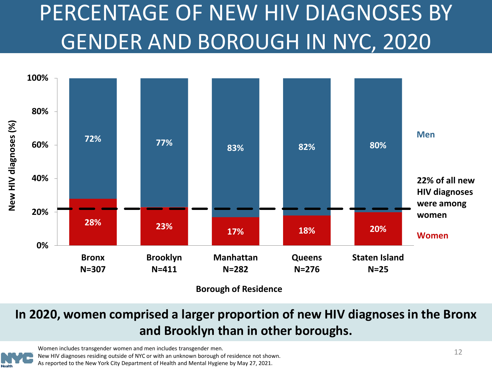## <span id="page-11-0"></span>PERCENTAGE OF NEW HIV DIAGNOSES BY GENDER AND BOROUGH IN NYC, 2020



**Borough of Residence**

#### **In 2020, women comprised a larger proportion of new HIV diagnoses in the Bronx and Brooklyn than in other boroughs.**



Women includes transgender women and men includes transgender men. New HIV diagnoses residing outside of NYC or with an unknown borough of residence not shown. As reported to the New York City Department of Health and Mental Hygiene by May 27, 2021.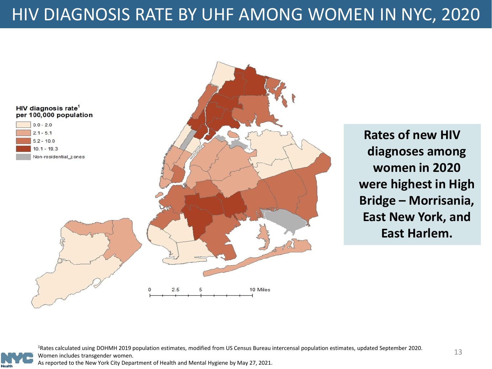### <span id="page-12-0"></span>HIV DIAGNOSIS RATE BY UHF AMONG WOMEN IN NYC, 2020



**Rates of new HIV diagnoses among women in 2020 were highest in High Bridge – Morrisania, East New York, and East Harlem.**

1Rates calculated using DOHMH 2019 population estimates, modified from US Census Bureau intercensal population estimates, updated September 2020. Women includes transgender women.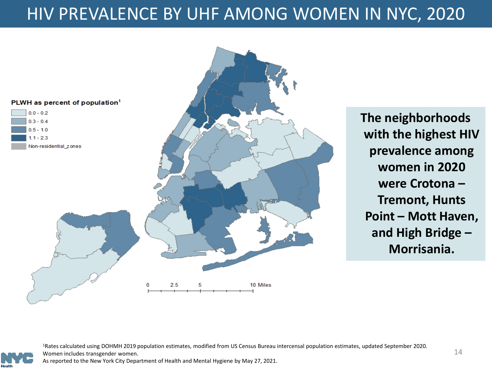#### <span id="page-13-0"></span>HIV PREVALENCE BY UHF AMONG WOMEN IN NYC, 2020



**The neighborhoods with the highest HIV prevalence among women in 2020 were Crotona – Tremont, Hunts Point – Mott Haven, and High Bridge – Morrisania.**

1Rates calculated using DOHMH 2019 population estimates, modified from US Census Bureau intercensal population estimates, updated September 2020. Women includes transgender women.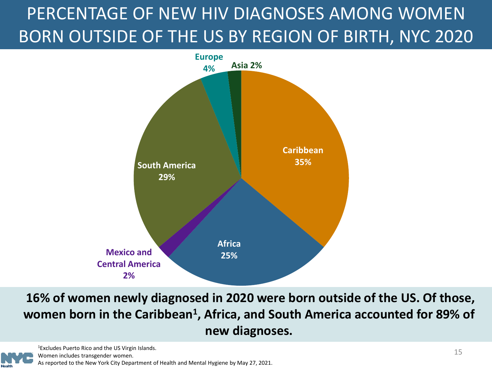### <span id="page-14-0"></span>PERCENTAGE OF NEW HIV DIAGNOSES AMONG WOMEN BORN OUTSIDE OF THE US BY REGION OF BIRTH, NYC 2020



**16% of women newly diagnosed in 2020 were born outside of the US. Of those, women born in the Caribbean1, Africa, and South America accounted for 89% of new diagnoses.**

1Excludes Puerto Rico and the US Virgin Islands.

Women includes transgender women.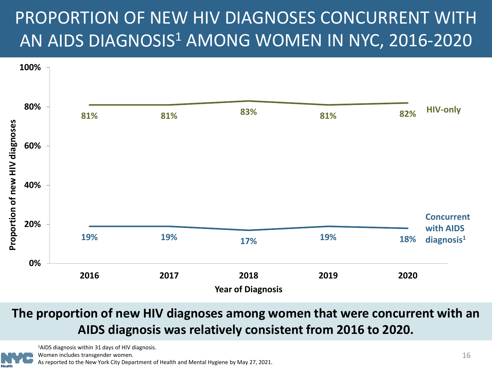### <span id="page-15-0"></span>PROPORTION OF NEW HIV DIAGNOSES CONCURRENT WITH AN AIDS DIAGNOSIS<sup>1</sup> AMONG WOMEN IN NYC, 2016-2020



#### **The proportion of new HIV diagnoses among women that were concurrent with an AIDS diagnosis was relatively consistent from 2016 to 2020.**



1AIDS diagnosis within 31 days of HIV diagnosis.

Women includes transgender women.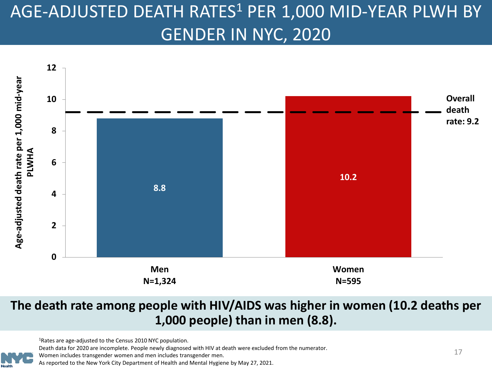### <span id="page-16-0"></span>AGE-ADJUSTED DEATH RATES<sup>1</sup> PER 1,000 MID-YEAR PLWH BY GENDER IN NYC, 2020



#### **The death rate among people with HIV/AIDS was higher in women (10.2 deaths per 1,000 people) than in men (8.8).**

1Rates are age-adjusted to the Census 2010 NYC population.

Death data for 2020 are incomplete. People newly diagnosed with HIV at death were excluded from the numerator.

Women includes transgender women and men includes transgender men.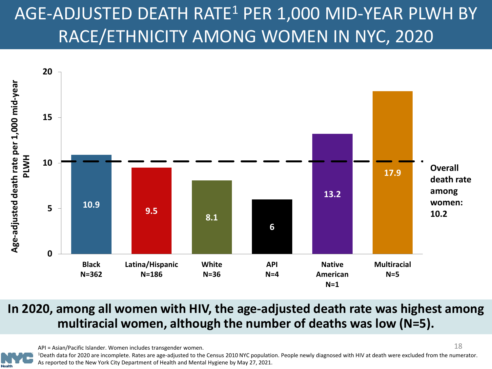### <span id="page-17-0"></span>AGE-ADJUSTED DEATH RATE1 PER 1,000 MID-YEAR PLWH BY RACE/ETHNICITY AMONG WOMEN IN NYC, 2020



#### **In 2020, among all women with HIV, the age-adjusted death rate was highest among multiracial women, although the number of deaths was low (N=5).**

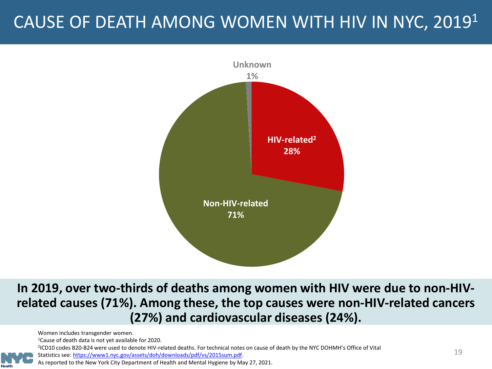### <span id="page-18-0"></span>CAUSE OF DEATH AMONG WOMEN WITH HIV IN NYC, 20191



**In 2019, over two-thirds of deaths among women with HIV were due to non-HIVrelated causes (71%). Among these, the top causes were non-HIV-related cancers (27%) and cardiovascular diseases (24%).**

Women includes transgender women.

1Cause of death data is not yet available for 2020.

<sup>2</sup>ICD10 codes B20-B24 were used to denote HIV-related deaths. For technical notes on cause of death by the NYC DOHMH's Office of Vital

Statistics see: [https://www1.nyc.gov/assets/doh/downloads/pdf/vs/2015sum.pdf](https://www1.nyc.gov/assets/doh/downloads/pdf/vs/2014sum.pdf).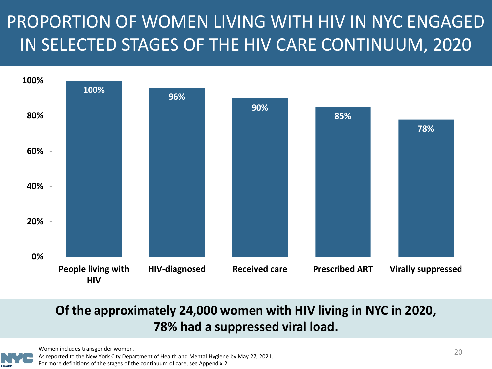### <span id="page-19-0"></span>PROPORTION OF WOMEN LIVING WITH HIV IN NYC ENGAGED IN SELECTED STAGES OF THE HIV CARE CONTINUUM, 2020



#### **Of the approximately 24,000 women with HIV living in NYC in 2020, 78% had a suppressed viral load.**



Women includes transgender women.

As reported to the New York City Department of Health and Mental Hygiene by May 27, 2021.

For more definitions of the stages of the continuum of care, see Appendix 2.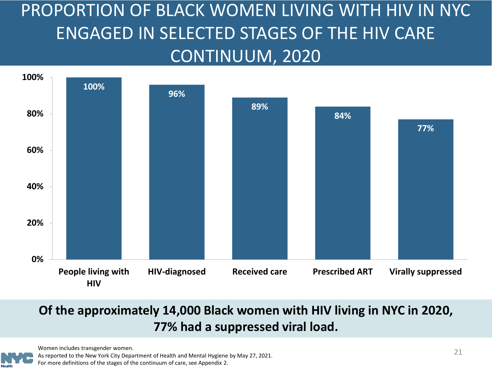### <span id="page-20-0"></span>PROPORTION OF BLACK WOMEN LIVING WITH HIV IN NYC ENGAGED IN SELECTED STAGES OF THE HIV CARE CONTINUUM, 2020



#### **Of the approximately 14,000 Black women with HIV living in NYC in 2020, 77% had a suppressed viral load.**

Women includes transgender women.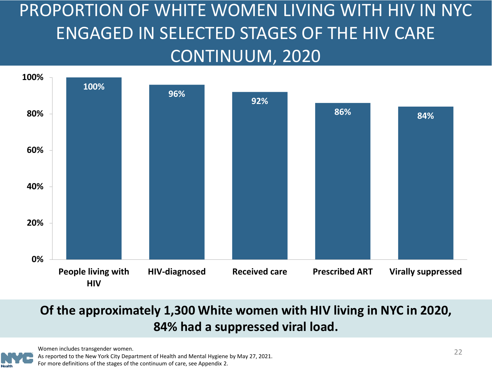### <span id="page-21-0"></span>PROPORTION OF WHITE WOMEN LIVING WITH HIV IN NYC ENGAGED IN SELECTED STAGES OF THE HIV CARE CONTINUUM, 2020



#### **Of the approximately 1,300 White women with HIV living in NYC in 2020, 84% had a suppressed viral load.**



Women includes transgender women.

As reported to the New York City Department of Health and Mental Hygiene by May 27, 2021.

For more definitions of the stages of the continuum of care, see Appendix 2.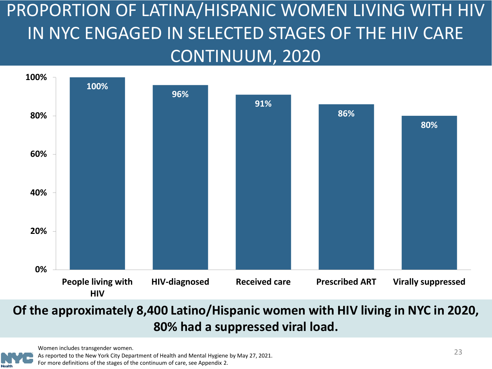<span id="page-22-0"></span>PROPORTION OF LATINA/HISPANIC WOMEN LIVING WITH HIV IN NYC ENGAGED IN SELECTED STAGES OF THE HIV CARE CONTINUUM, 2020



#### **Of the approximately 8,400 Latino/Hispanic women with HIV living in NYC in 2020, 80% had a suppressed viral load.**

Women includes transgender women.

As reported to the New York City Department of Health and Mental Hygiene by May 27, 2021. For more definitions of the stages of the continuum of care, see Appendix 2.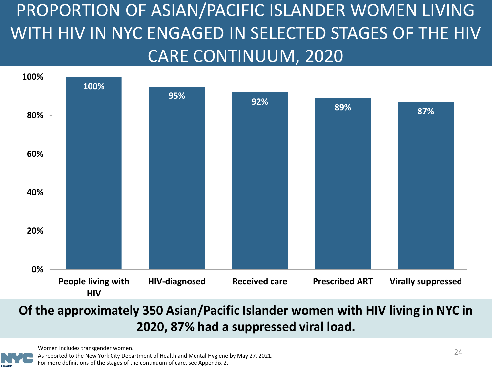<span id="page-23-0"></span>PROPORTION OF ASIAN/PACIFIC ISLANDER WOMEN LIVING WITH HIV IN NYC ENGAGED IN SELECTED STAGES OF THE HIV CARE CONTINUUM, 2020



#### **Of the approximately 350 Asian/Pacific Islander women with HIV living in NYC in 2020, 87% had a suppressed viral load.**

Women includes transgender women.

As reported to the New York City Department of Health and Mental Hygiene by May 27, 2021. For more definitions of the stages of the continuum of care, see Appendix 2.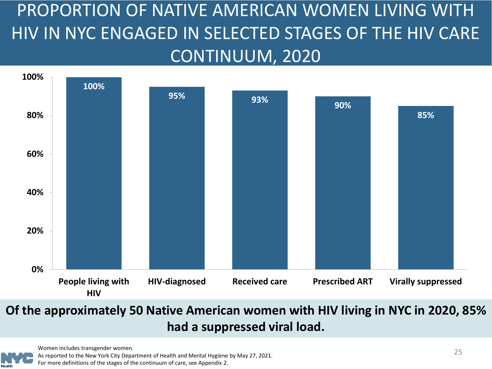<span id="page-24-0"></span>PROPORTION OF NATIVE AMERICAN WOMEN LIVING WITH HIV IN NYC ENGAGED IN SELECTED STAGES OF THE HIV CARE CONTINUUM, 2020



#### **Of the approximately 50 Native American women with HIV living in NYC in 2020, 85% had a suppressed viral load.**

Women includes transgender women.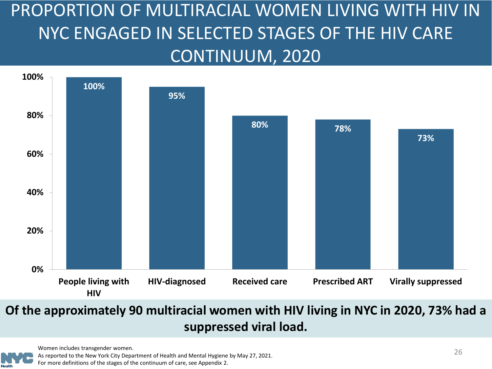### <span id="page-25-0"></span>PROPORTION OF MULTIRACIAL WOMEN LIVING WITH HIV IN NYC ENGAGED IN SELECTED STAGES OF THE HIV CARE CONTINUUM, 2020



#### **Of the approximately 90 multiracial women with HIV living in NYC in 2020, 73% had a suppressed viral load.**

Women includes transgender women.



As reported to the New York City Department of Health and Mental Hygiene by May 27, 2021.

For more definitions of the stages of the continuum of care, see Appendix 2.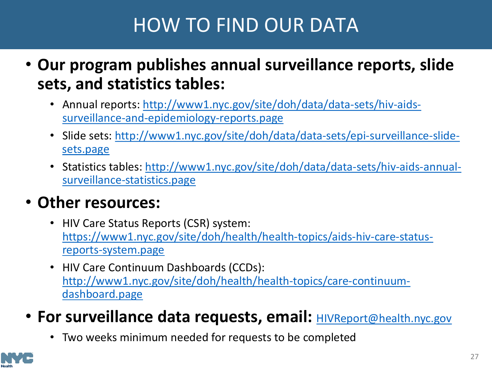### HOW TO FIND OUR DATA

- <span id="page-26-0"></span>• **Our program publishes annual surveillance reports, slide sets, and statistics tables:**
	- [Annual reports: http://www1.nyc.gov/site/doh/data/data-sets/hiv-aids](http://www1.nyc.gov/site/doh/data/data-sets/hiv-aids-surveillance-and-epidemiology-reports.page)surveillance-and-epidemiology-reports.page
	- [Slide sets: http://www1.nyc.gov/site/doh/data/data-sets/epi-surveillance-slide](http://www1.nyc.gov/site/doh/data/data-sets/epi-surveillance-slide-sets.page)sets.page
	- [Statistics tables: http://www1.nyc.gov/site/doh/data/data-sets/hiv-aids-annual](http://www1.nyc.gov/site/doh/data/data-sets/hiv-aids-annual-surveillance-statistics.page)surveillance-statistics.page

#### • **Other resources:**

- HIV Care Status Reports (CSR) system: [https://www1.nyc.gov/site/doh/health/health-topics/aids-hiv-care-status](https://www1.nyc.gov/site/doh/health/health-topics/aids-hiv-care-status-reports-system.page)reports-system.page
- HIV Care Continuum Dashboards (CCDs): [http://www1.nyc.gov/site/doh/health/health-topics/care-continuum](http://www1.nyc.gov/site/doh/health/health-topics/care-continuum-dashboard.page)dashboard.page
- For surveillance data requests, email: **[HIVReport@health.nyc.gov](mailto:HIVReport@health.nyc.gov)** 
	- Two weeks minimum needed for requests to be completed

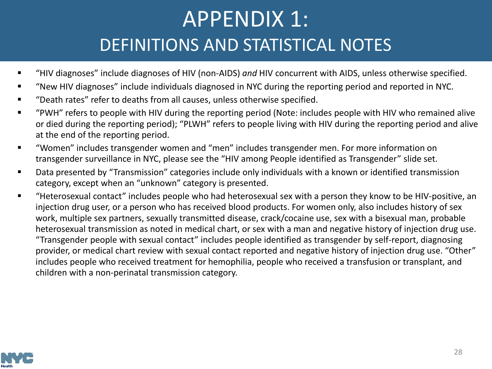### APPENDIX 1: DEFINITIONS AND STATISTICAL NOTES

- <span id="page-27-0"></span>"HIV diagnoses" include diagnoses of HIV (non-AIDS) *and* HIV concurrent with AIDS, unless otherwise specified.
- "New HIV diagnoses" include individuals diagnosed in NYC during the reporting period and reported in NYC.
- "Death rates" refer to deaths from all causes, unless otherwise specified.
- "PWH" refers to people with HIV during the reporting period (Note: includes people with HIV who remained alive or died during the reporting period); "PLWH" refers to people living with HIV during the reporting period and alive at the end of the reporting period.
- "Women" includes transgender women and "men" includes transgender men. For more information on transgender surveillance in NYC, please see the "HIV among People identified as Transgender" slide set.
- Data presented by "Transmission" categories include only individuals with a known or identified transmission category, except when an "unknown" category is presented.
- "Heterosexual contact" includes people who had heterosexual sex with a person they know to be HIV-positive, an injection drug user, or a person who has received blood products. For women only, also includes history of sex work, multiple sex partners, sexually transmitted disease, crack/cocaine use, sex with a bisexual man, probable heterosexual transmission as noted in medical chart, or sex with a man and negative history of injection drug use. "Transgender people with sexual contact" includes people identified as transgender by self-report, diagnosing provider, or medical chart review with sexual contact reported and negative history of injection drug use. "Other" includes people who received treatment for hemophilia, people who received a transfusion or transplant, and children with a non-perinatal transmission category.

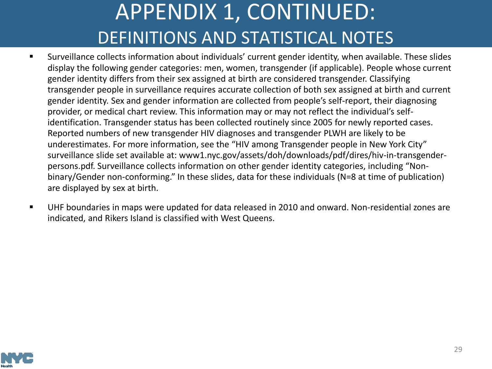## APPENDIX 1, CONTINUED: DEFINITIONS AND STATISTICAL NOTES

- <span id="page-28-0"></span> Surveillance collects information about individuals' current gender identity, when available. These slides display the following gender categories: men, women, transgender (if applicable). People whose current gender identity differs from their sex assigned at birth are considered transgender. Classifying transgender people in surveillance requires accurate collection of both sex assigned at birth and current gender identity. Sex and gender information are collected from people's self-report, their diagnosing provider, or medical chart review. This information may or may not reflect the individual's selfidentification. Transgender status has been collected routinely since 2005 for newly reported cases. Reported numbers of new transgender HIV diagnoses and transgender PLWH are likely to be underestimates. For more information, see the "HIV among Transgender people in New York City" surveillance slide set available at: www1.nyc.gov/assets/doh/downloads/pdf/dires/hiv-in-transgenderpersons.pdf. Surveillance collects information on other gender identity categories, including "Nonbinary/Gender non-conforming." In these slides, data for these individuals (N=8 at time of publication) are displayed by sex at birth.
- UHF boundaries in maps were updated for data released in 2010 and onward. Non-residential zones are indicated, and Rikers Island is classified with West Queens.